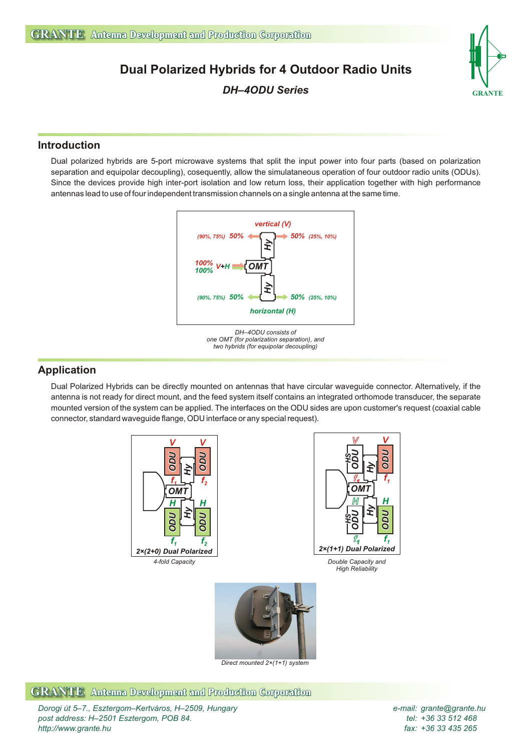# **Dual Polarized Hybrids for 4 Outdoor Radio Units**





### **Introduction**

Dual polarized hybrids are 5-port microwave systems that split the input power into four parts (based on polarization separation and equipolar decoupling), cosequently, allow the simulataneous operation of four outdoor radio units (ODUs). Since the devices provide high inter-port isolation and low return loss, their application together with high performance antennas lead to use of four independent transmission channels on a single antenna at the same time.



*DH–4ODU consists of one OMT (for polarization separation), and two hybrids (for equipolar decoupling)* 

### **Application**

Dual Polarized Hybrids can be directly mounted on antennas that have circular waveguide connector. Alternatively, if the antenna is not ready for direct mount, and the feed system itself contains an integrated orthomode transducer, the separate mounted version of the system can be applied. The interfaces on the ODU sides are upon customer's request (coaxial cable connector, standard waveguide flange, ODU interface or any special request).



*Direct mounted 2×(1+1) system*

### **GRANTE** Antenna Development and Production Corporation

*Dorogi út 5–7., Esztergom–Kertváros, H–2509, Hungary e-mail: grante@grante.hu post address: H–2501 Esztergom, POB 84. http://www.grante.hu*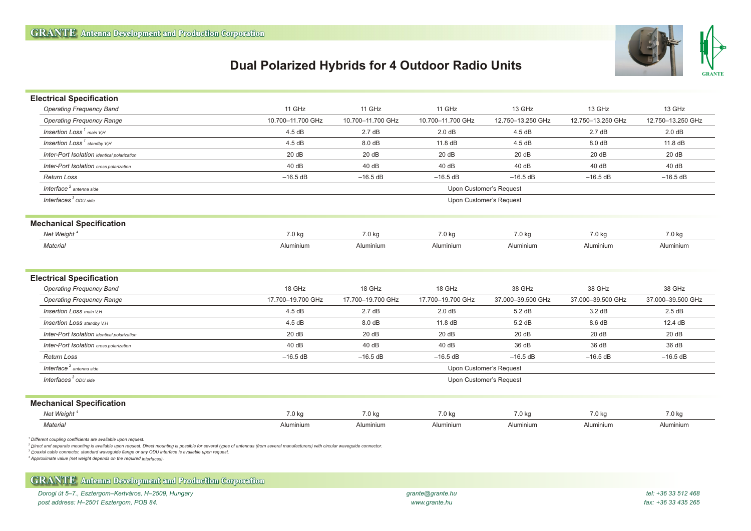## **Dual Polarized Hybrids for 4 Outdoor Radio Units**



| <b>Electrical Specification</b>                                                                                                                                                                                                                       |                   |                         |                   |                   |                   |                   |
|-------------------------------------------------------------------------------------------------------------------------------------------------------------------------------------------------------------------------------------------------------|-------------------|-------------------------|-------------------|-------------------|-------------------|-------------------|
| <b>Operating Frequency Band</b>                                                                                                                                                                                                                       | 11 GHz            | 11 GHz                  | 11 GHz            | 13 GHz            | 13 GHz            | 13 GHz            |
| <b>Operating Frequency Range</b>                                                                                                                                                                                                                      | 10.700-11.700 GHz | 10.700-11.700 GHz       | 10.700-11.700 GHz | 12.750-13.250 GHz | 12.750-13.250 GHz | 12.750-13.250 GHz |
| Insertion $Loss1$ main $V.H$                                                                                                                                                                                                                          | 4.5dB             | 2.7dB                   | 2.0 dB            | 4.5dB             | 2.7dB             | 2.0 dB            |
| Insertion Loss <sup>1</sup> standby V.H                                                                                                                                                                                                               | 4.5dB             | 8.0 dB                  | 11.8 dB           | 4.5 dB            | 8.0dB             | 11.8 dB           |
| Inter-Port Isolation identical polarization                                                                                                                                                                                                           | 20dB              | 20dB                    | 20dB              | 20dB              | 20dB              | 20dB              |
| Inter-Port Isolation cross polarization                                                                                                                                                                                                               | 40 dB             | 40 dB                   | 40 dB             | 40 dB             | 40 dB             | 40 dB             |
| <b>Return Loss</b>                                                                                                                                                                                                                                    | $-16.5$ dB        | $-16.5$ dB              | $-16.5$ dB        | $-16.5$ dB        | $-16.5$ dB        | $-16.5$ dB        |
| Interface <sup>2</sup> antenna side                                                                                                                                                                                                                   |                   | Upon Customer's Request |                   |                   |                   |                   |
| Interfaces <sup>3</sup> ODU side                                                                                                                                                                                                                      |                   | Upon Customer's Request |                   |                   |                   |                   |
| <b>Mechanical Specification</b>                                                                                                                                                                                                                       |                   |                         |                   |                   |                   |                   |
| Net Weight <sup>4</sup>                                                                                                                                                                                                                               | 7.0 kg            | 7.0 kg                  | 7.0 kg            | 7.0 kg            | 7.0 kg            | 7.0 kg            |
| Material                                                                                                                                                                                                                                              | Aluminium         | Aluminium               | Aluminium         | Aluminium         | Aluminium         | Aluminium         |
|                                                                                                                                                                                                                                                       |                   |                         |                   |                   |                   |                   |
| <b>Electrical Specification</b>                                                                                                                                                                                                                       |                   |                         |                   |                   |                   |                   |
| <b>Operating Frequency Band</b>                                                                                                                                                                                                                       | 18 GHz            | 18 GHz                  | 18 GHz            | 38 GHz            | 38 GHz            | 38 GHz            |
| <b>Operating Frequency Range</b>                                                                                                                                                                                                                      | 17.700-19.700 GHz | 17.700-19.700 GHz       | 17.700-19.700 GHz | 37.000-39.500 GHz | 37.000-39.500 GHz | 37.000-39.500 GHz |
| <b>Insertion Loss main V.H</b>                                                                                                                                                                                                                        | 4.5dB             | 2.7dB                   | 2.0 dB            | 5.2 dB            | 3.2 dB            | 2.5dB             |
| <b>Insertion Loss standby V.H</b>                                                                                                                                                                                                                     | 4.5dB             | 8.0 dB                  | 11.8 dB           | 5.2 dB            | 8.6 dB            | 12.4 dB           |
| Inter-Port Isolation identical polarization                                                                                                                                                                                                           | 20dB              | 20dB                    | 20dB              | 20dB              | 20dB              | 20dB              |
| Inter-Port Isolation cross polarization                                                                                                                                                                                                               | 40dB              | 40dB                    | 40dB              | 36 dB             | 36 dB             | 36 dB             |
| <b>Return Loss</b>                                                                                                                                                                                                                                    | $-16.5$ dB        | $-16.5$ dB              | $-16.5$ dB        | $-16.5$ dB        | $-16.5$ dB        | $-16.5$ dB        |
| Interface $2$ antenna side                                                                                                                                                                                                                            |                   | Upon Customer's Request |                   |                   |                   |                   |
| Interfaces $3$ ODU side                                                                                                                                                                                                                               |                   | Upon Customer's Request |                   |                   |                   |                   |
| <b>Mechanical Specification</b>                                                                                                                                                                                                                       |                   |                         |                   |                   |                   |                   |
| Net Weight <sup>4</sup>                                                                                                                                                                                                                               | 7.0 kg            | 7.0 kg                  | 7.0 kg            | 7.0 kg            | 7.0 kg            | 7.0 kg            |
| <b>Material</b>                                                                                                                                                                                                                                       | Aluminium         | Aluminium               | Aluminium         | Aluminium         | Aluminium         | Aluminium         |
| Different coupling coefficients are available upon request.<br>$^2$ Direct and separate mounting is available upon request. Direct mounting is possible for several types of antennas (from several manufacturers) with circular waveguide connector. |                   |                         |                   |                   |                   |                   |

*3 Coaxial cable connector, standard waveguide flange or any ODU interface is available upon request. <sup>4</sup> Approximate value (net weight depends on the required interfaces).*

#### **GRANTE Antenna Development and Production Corporation**

*Dorogi út 5–7., Esztergom–Kertváros, H–2509, Hungary grante@grante.hu post address: H–2501 Esztergom, POB 84. www.grante.hu*

*tel: +36 33 512 468 fax: +36 33 435 265*